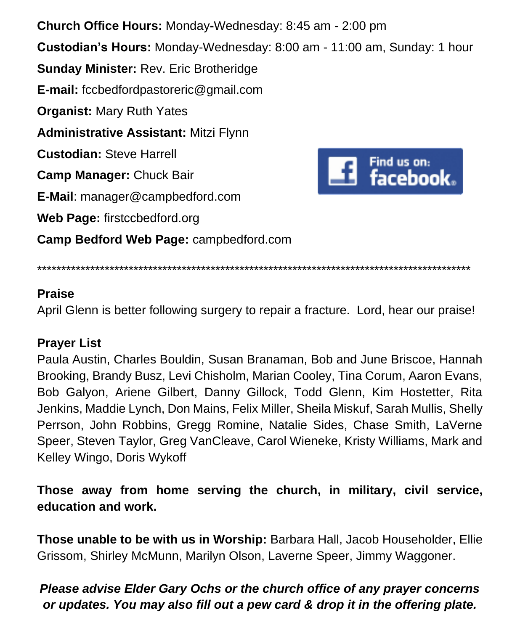**Church Office Hours:** Monday**-**Wednesday: 8:45 am - 2:00 pm **Custodian's Hours:** Monday-Wednesday: 8:00 am - 11:00 am, Sunday: 1 hour **Sunday Minister:** Rev. Eric Brotheridge **E-mail:** fccbedfordpastoreric@gmail.com **Organist:** Mary Ruth Yates **Administrative Assistant:** Mitzi Flynn **Custodian:** Steve Harrell Find us on:<br>**facebook**.. **Camp Manager:** Chuck Bair **E-Mail**: manager@campbedford.com **Web Page:** firstccbedford.org **Camp Bedford Web Page:** campbedford.com

\*\*\*\*\*\*\*\*\*\*\*\*\*\*\*\*\*\*\*\*\*\*\*\*\*\*\*\*\*\*\*\*\*\*\*\*\*\*\*\*\*\*\*\*\*\*\*\*\*\*\*\*\*\*\*\*\*\*\*\*\*\*\*\*\*\*\*\*\*\*\*\*\*\*\*\*\*\*\*\*\*\*\*\*\*\*\*\*\*\*

## **Praise**

April Glenn is better following surgery to repair a fracture. Lord, hear our praise!

## **Prayer List**

Paula Austin, Charles Bouldin, Susan Branaman, Bob and June Briscoe, Hannah Brooking, Brandy Busz, Levi Chisholm, Marian Cooley, Tina Corum, Aaron Evans, Bob Galyon, Ariene Gilbert, Danny Gillock, Todd Glenn, Kim Hostetter, Rita Jenkins, Maddie Lynch, Don Mains, Felix Miller, Sheila Miskuf, Sarah Mullis, Shelly Perrson, John Robbins, Gregg Romine, Natalie Sides, Chase Smith, LaVerne Speer, Steven Taylor, Greg VanCleave, Carol Wieneke, Kristy Williams, Mark and Kelley Wingo, Doris Wykoff

**Those away from home serving the church, in military, civil service, education and work.**

**Those unable to be with us in Worship:** Barbara Hall, Jacob Householder, Ellie Grissom, Shirley McMunn, Marilyn Olson, Laverne Speer, Jimmy Waggoner.

## *Please advise Elder Gary Ochs or the church office of any prayer concerns or updates. You may also fill out a pew card & drop it in the offering plate.*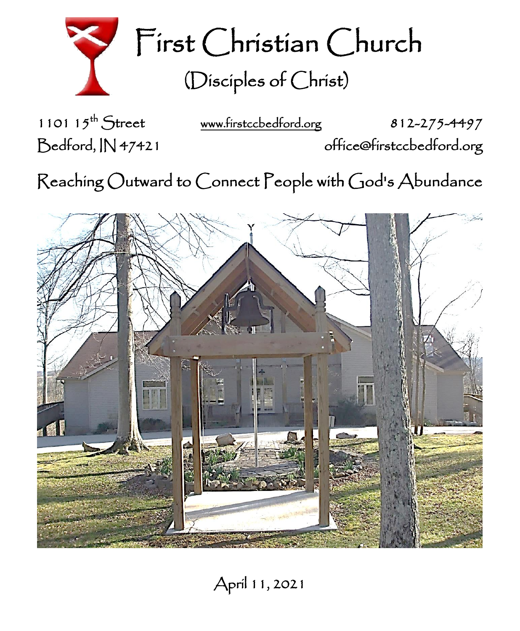

First Christian Church (Disciples of Christ)

1101  $15^{th}$  Street

[www.firstccbedford.org](http://www.firstccbedford.org/) 812-275-4497

Bedford, IN 47421 office@firstccbedford.org

Reaching Outward to Connect People with God's Abundance



April 11, 2021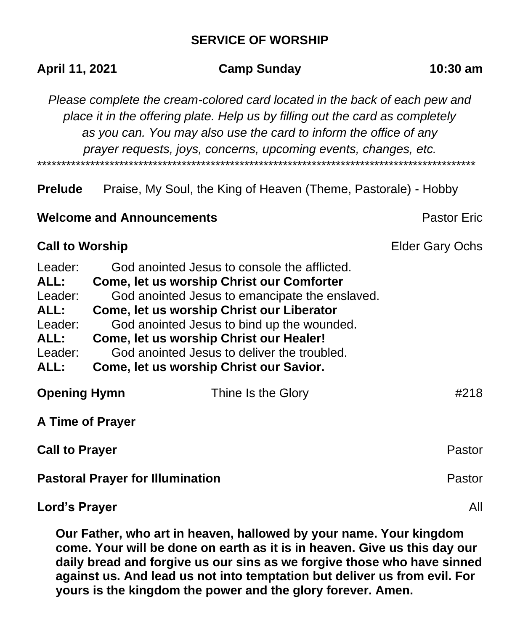## **SERVICE OF WORSHIP**

| April 11, 2021                                                                  |               | <b>Camp Sunday</b>                                                                                                                                                                                                                                                                                                                                                          | $10:30$ am             |  |  |
|---------------------------------------------------------------------------------|---------------|-----------------------------------------------------------------------------------------------------------------------------------------------------------------------------------------------------------------------------------------------------------------------------------------------------------------------------------------------------------------------------|------------------------|--|--|
|                                                                                 |               | Please complete the cream-colored card located in the back of each pew and<br>place it in the offering plate. Help us by filling out the card as completely<br>as you can. You may also use the card to inform the office of any<br>prayer requests, joys, concerns, upcoming events, changes, etc.                                                                         |                        |  |  |
| <b>Prelude</b>                                                                  |               | Praise, My Soul, the King of Heaven (Theme, Pastorale) - Hobby                                                                                                                                                                                                                                                                                                              |                        |  |  |
| <b>Welcome and Announcements</b>                                                |               |                                                                                                                                                                                                                                                                                                                                                                             | <b>Pastor Eric</b>     |  |  |
| <b>Call to Worship</b>                                                          |               |                                                                                                                                                                                                                                                                                                                                                                             | <b>Elder Gary Ochs</b> |  |  |
| Leader:<br>ALL:<br>Leader:<br>ALL:<br>Leader:<br>ALL:<br>Leader:<br><b>ALL:</b> |               | God anointed Jesus to console the afflicted.<br>Come, let us worship Christ our Comforter<br>God anointed Jesus to emancipate the enslaved.<br>Come, let us worship Christ our Liberator<br>God anointed Jesus to bind up the wounded.<br>Come, let us worship Christ our Healer!<br>God anointed Jesus to deliver the troubled.<br>Come, let us worship Christ our Savior. |                        |  |  |
| <b>Opening Hymn</b>                                                             |               | Thine Is the Glory                                                                                                                                                                                                                                                                                                                                                          | #218                   |  |  |
| <b>A Time of Prayer</b>                                                         |               |                                                                                                                                                                                                                                                                                                                                                                             |                        |  |  |
| <b>Call to Prayer</b>                                                           | Pastor        |                                                                                                                                                                                                                                                                                                                                                                             |                        |  |  |
| <b>Pastoral Prayer for Illumination</b>                                         | Pastor        |                                                                                                                                                                                                                                                                                                                                                                             |                        |  |  |
|                                                                                 | Lord's Prayer |                                                                                                                                                                                                                                                                                                                                                                             |                        |  |  |

**Our Father, who art in heaven, hallowed by your name. Your kingdom come. Your will be done on earth as it is in heaven. Give us this day our daily bread and forgive us our sins as we forgive those who have sinned against us. And lead us not into temptation but deliver us from evil. For yours is the kingdom the power and the glory forever. Amen.**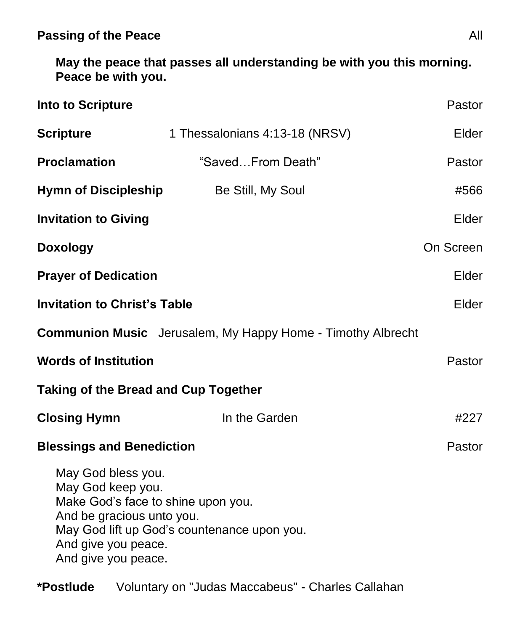**May the peace that passes all understanding be with you this morning. Peace be with you.**

| <b>Into to Scripture</b>                                                                                                                                                                                |                                | Pastor    |  |  |  |
|---------------------------------------------------------------------------------------------------------------------------------------------------------------------------------------------------------|--------------------------------|-----------|--|--|--|
| <b>Scripture</b>                                                                                                                                                                                        | 1 Thessalonians 4:13-18 (NRSV) | Elder     |  |  |  |
| <b>Proclamation</b>                                                                                                                                                                                     | "SavedFrom Death"              | Pastor    |  |  |  |
| <b>Hymn of Discipleship</b>                                                                                                                                                                             | Be Still, My Soul              | #566      |  |  |  |
| <b>Invitation to Giving</b>                                                                                                                                                                             |                                | Elder     |  |  |  |
| <b>Doxology</b>                                                                                                                                                                                         |                                | On Screen |  |  |  |
| <b>Prayer of Dedication</b>                                                                                                                                                                             | Elder                          |           |  |  |  |
| <b>Invitation to Christ's Table</b>                                                                                                                                                                     | Elder                          |           |  |  |  |
| <b>Communion Music</b> Jerusalem, My Happy Home - Timothy Albrecht                                                                                                                                      |                                |           |  |  |  |
| <b>Words of Institution</b>                                                                                                                                                                             | Pastor                         |           |  |  |  |
| Taking of the Bread and Cup Together                                                                                                                                                                    |                                |           |  |  |  |
| <b>Closing Hymn</b>                                                                                                                                                                                     | In the Garden                  | #227      |  |  |  |
| <b>Blessings and Benediction</b>                                                                                                                                                                        |                                |           |  |  |  |
| May God bless you.<br>May God keep you.<br>Make God's face to shine upon you.<br>And be gracious unto you.<br>May God lift up God's countenance upon you.<br>And give you peace.<br>And give you peace. |                                |           |  |  |  |

**\*Postlude** Voluntary on "Judas Maccabeus" - Charles Callahan